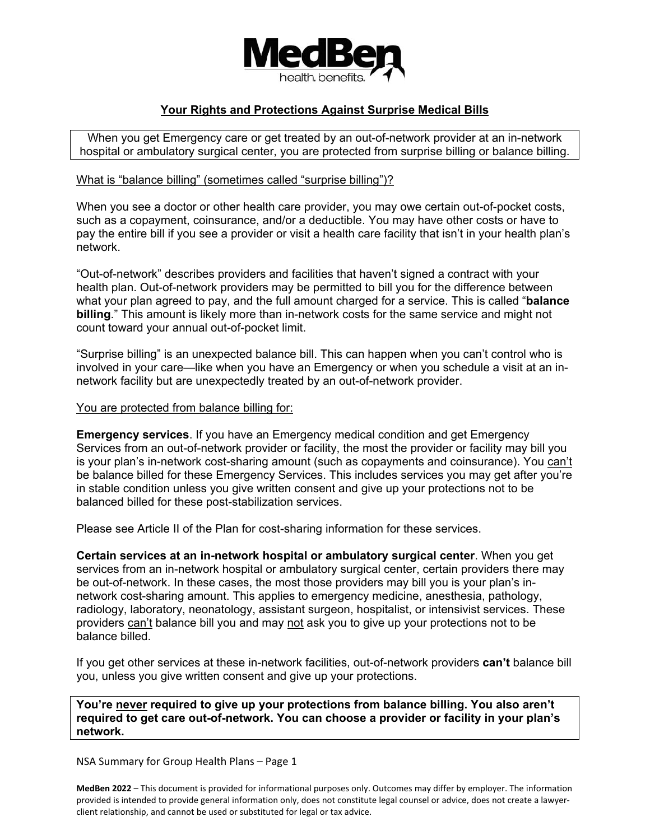

## **Your Rights and Protections Against Surprise Medical Bills**

When you get Emergency care or get treated by an out-of-network provider at an in-network hospital or ambulatory surgical center, you are protected from surprise billing or balance billing.

## What is "balance billing" (sometimes called "surprise billing")?

When you see a doctor or other health care provider, you may owe certain out-of-pocket costs, such as a copayment, coinsurance, and/or a deductible. You may have other costs or have to pay the entire bill if you see a provider or visit a health care facility that isn't in your health plan's network.

"Out-of-network" describes providers and facilities that haven't signed a contract with your health plan. Out-of-network providers may be permitted to bill you for the difference between what your plan agreed to pay, and the full amount charged for a service. This is called "**balance billing**." This amount is likely more than in-network costs for the same service and might not count toward your annual out-of-pocket limit.

"Surprise billing" is an unexpected balance bill. This can happen when you can't control who is involved in your care—like when you have an Emergency or when you schedule a visit at an innetwork facility but are unexpectedly treated by an out-of-network provider.

## You are protected from balance billing for:

**Emergency services**. If you have an Emergency medical condition and get Emergency Services from an out-of-network provider or facility, the most the provider or facility may bill you is your plan's in-network cost-sharing amount (such as copayments and coinsurance). You can't be balance billed for these Emergency Services. This includes services you may get after you're in stable condition unless you give written consent and give up your protections not to be balanced billed for these post-stabilization services.

Please see Article II of the Plan for cost-sharing information for these services.

**Certain services at an in-network hospital or ambulatory surgical center**. When you get services from an in-network hospital or ambulatory surgical center, certain providers there may be out-of-network. In these cases, the most those providers may bill you is your plan's innetwork cost-sharing amount. This applies to emergency medicine, anesthesia, pathology, radiology, laboratory, neonatology, assistant surgeon, hospitalist, or intensivist services. These providers can't balance bill you and may not ask you to give up your protections not to be balance billed.

If you get other services at these in-network facilities, out-of-network providers **can't** balance bill you, unless you give written consent and give up your protections.

**You're never required to give up your protections from balance billing. You also aren't required to get care out-of-network. You can choose a provider or facility in your plan's network.** 

NSA Summary for Group Health Plans – Page 1

**MedBen 2022** – This document is provided for informational purposes only. Outcomes may differ by employer. The information provided is intended to provide general information only, does not constitute legal counsel or advice, does not create a lawyerclient relationship, and cannot be used or substituted for legal or tax advice.